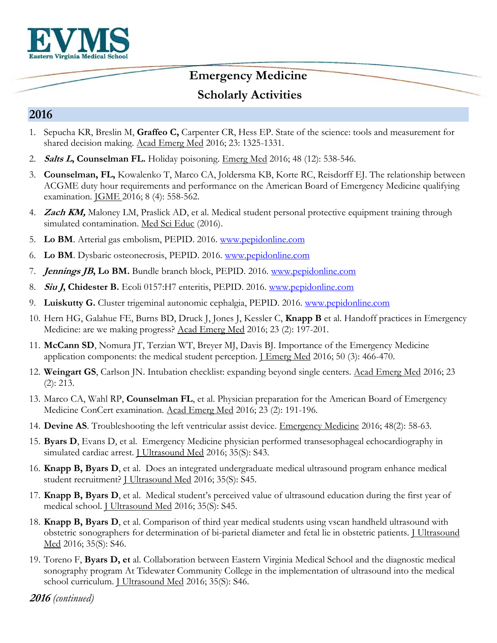

### **Emergency Medicine**

### **Scholarly Activities**

#### **2016**

- 1. Sepucha KR, Breslin M, **Graffeo C,** Carpenter CR, Hess EP. State of the science: tools and measurement for shared decision making. Acad Emerg Med 2016; 23: 1325-1331.
- 2. **Salts L, Counselman FL.** Holiday poisoning. Emerg Med 2016; 48 (12): 538-546.
- 3. **Counselman, FL,** Kowalenko T, Marco CA, Joldersma KB, Korte RC, Reisdorff EJ. The relationship between ACGME duty hour requirements and performance on the American Board of Emergency Medicine qualifying examination. JGME 2016; 8 (4): 558-562.
- 4. **Zach KM,** Maloney LM, Praslick AD, et al. Medical student personal protective equipment training through simulated contamination. Med Sci Educ (2016).
- 5. **Lo BM**. Arterial gas embolism, PEPID. 2016. [www.pepidonline.com](http://www.pepidonline.com/)
- 6. **Lo BM**. Dysbaric osteonecrosis, PEPID. 2016. [www.pepidonline.com](http://www.pepidonline.com/)
- 7. **Jennings JB, Lo BM.** Bundle branch block, PEPID. 2016. [www.pepidonline.com](http://www.pepidonline.com/)
- 8. **Siu J, Chidester B.** Ecoli 0157:H7 enteritis, PEPID. 2016. [www.pepidonline.com](http://www.pepidonline.com/)
- 9. **Luiskutty G.** Cluster trigeminal autonomic cephalgia, PEPID. 2016. [www.pepidonline.com](http://www.pepidonline.com/)
- 10. Hern HG, Galahue FE, Burns BD, Druck J, Jones J, Kessler C, **Knapp B** et al. Handoff practices in Emergency Medicine: are we making progress? Acad Emerg Med 2016; 23 (2): 197-201.
- 11. **McCann SD**, Nomura JT, Terzian WT, Breyer MJ, Davis BJ. Importance of the Emergency Medicine application components: the medical student perception. *J Emerg Med* 2016; 50 (3): 466-470.
- 12. **Weingart GS**, Carlson JN. Intubation checklist: expanding beyond single centers. Acad Emerg Med 2016; 23 (2): 213.
- 13. Marco CA, Wahl RP, **Counselman FL**, et al. Physician preparation for the American Board of Emergency Medicine ConCert examination. Acad Emerg Med 2016; 23 (2): 191-196.
- 14. **Devine AS**. Troubleshooting the left ventricular assist device. Emergency Medicine 2016; 48(2): 58-63.
- 15. **Byars D**, Evans D, et al. Emergency Medicine physician performed transesophageal echocardiography in simulated cardiac arrest. J Ultrasound Med 2016; 35(S): S43.
- 16. **Knapp B, Byars D**, et al. Does an integrated undergraduate medical ultrasound program enhance medical student recruitment? J Ultrasound Med 2016; 35(S): S45.
- 17. **Knapp B, Byars D**, et al. Medical student's perceived value of ultrasound education during the first year of medical school. J Ultrasound Med 2016; 35(S): S45.
- 18. **Knapp B, Byars D**, et al. Comparison of third year medical students using vscan handheld ultrasound with obstetric sonographers for determination of bi-parietal diameter and fetal lie in obstetric patients. **I Ultrasound** Med 2016; 35(S): S46.
- 19. Toreno F, **Byars D, et** al. Collaboration between Eastern Virginia Medical School and the diagnostic medical sonography program At Tidewater Community College in the implementation of ultrasound into the medical school curriculum. *J Ultrasound Med 2016*; 35(S): S46.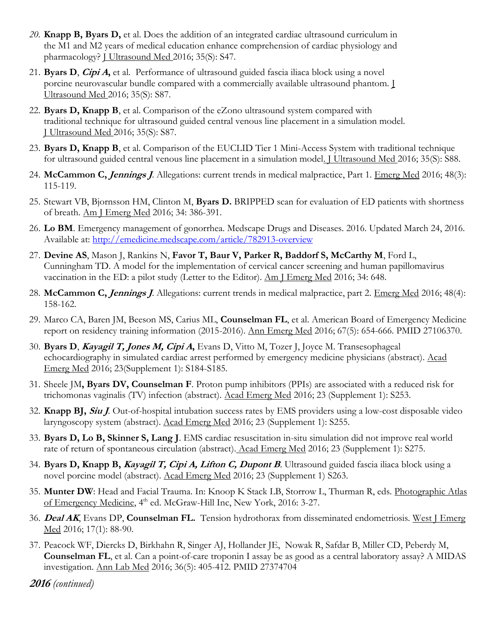- *20.* **Knapp B, Byars D,** et al. Does the addition of an integrated cardiac ultrasound curriculum in the M1 and M2 years of medical education enhance comprehension of cardiac physiology and pharmacology? *J Ultrasound Med 2016*; 35(S): S47.
- 21. **Byars D**, **Cipi A,** et al. Performance of ultrasound guided fascia iliaca block using a novel porcine neurovascular bundle compared with a commercially available ultrasound phantom. J Ultrasound Med 2016; 35(S): S87.
- 22. **Byars D, Knapp B**, et al. Comparison of the eZono ultrasound system compared with traditional technique for ultrasound guided central venous line placement in a simulation model. J Ultrasound Med 2016; 35(S): S87.
- 23. **Byars D, Knapp B**, et al. Comparison of the EUCLID Tier 1 Mini-Access System with traditional technique for ultrasound guided central venous line placement in a simulation model. J Ultrasound Med 2016; 35(S): S88.
- 24. **McCammon C, Jennings J**. Allegations: current trends in medical malpractice, Part 1. Emerg Med 2016; 48(3): 115-119.
- 25. Stewart VB, Bjornsson HM, Clinton M, **Byars D.** BRIPPED scan for evaluation of ED patients with shortness of breath. Am J Emerg Med 2016; 34: 386-391.
- 26. **Lo BM**. Emergency management of gonorrhea. Medscape Drugs and Diseases. 2016. Updated March 24, 2016. Available at:<http://emedicine.medscape.com/article/782913-overview>
- 27. **Devine AS**, Mason J, Rankins N, **Favor T, Baur V, Parker R, Baddorf S, McCarthy M**, Ford L, Cunningham TD. A model for the implementation of cervical cancer screening and human papillomavirus vaccination in the ED: a pilot study (Letter to the Editor). Am J Emerg Med 2016; 34: 648.
- 28. **McCammon C, Jennings J**. Allegations: current trends in medical malpractice, part 2. Emerg Med 2016; 48(4): 158-162.
- 29. Marco CA, Baren JM, Beeson MS, Carius ML, **Counselman FL**, et al. American Board of Emergency Medicine report on residency training information (2015-2016). Ann Emerg Med 2016; 67(5): 654-666. PMID 27106370.
- 30. **Byars D**, **Kayagil T, Jones M, Cipi A,** Evans D, Vitto M, Tozer J, Joyce M. Transesophageal echocardiography in simulated cardiac arrest performed by emergency medicine physicians (abstract). Acad Emerg Med 2016; 23(Supplement 1): S184-S185.
- 31. Sheele JM**, Byars DV, Counselman F**. Proton pump inhibitors (PPIs) are associated with a reduced risk for trichomonas vaginalis (TV) infection (abstract). Acad Emerg Med 2016; 23 (Supplement 1): S253.
- 32. **Knapp BJ, Siu J***.* Out-of-hospital intubation success rates by EMS providers using a low-cost disposable video laryngoscopy system (abstract). Acad Emerg Med 2016; 23 (Supplement 1): S255.
- 33. **Byars D, Lo B, Skinner S, Lang J**. EMS cardiac resuscitation in-situ simulation did not improve real world rate of return of spontaneous circulation (abstract). Acad Emerg Med 2016; 23 (Supplement 1): S275.
- 34. **Byars D, Knapp B, Kayagil T, Cipi A, Lifton C, Dupont B**. Ultrasound guided fascia iliaca block using a novel porcine model (abstract). Acad Emerg Med 2016; 23 (Supplement 1) S263.
- 35. **Munter DW**: Head and Facial Trauma. In: Knoop K Stack LB, Storrow L, Thurman R, eds. Photographic Atlas of Emergency Medicine, 4<sup>th</sup> ed. McGraw-Hill Inc, New York, 2016: 3-27.
- 36. **Deal AK**, Evans DP, **Counselman FL.** Tension hydrothorax from disseminated endometriosis. West J Emerg Med 2016; 17(1): 88-90.
- 37. Peacock WF, Diercks D, Birkhahn R, Singer AJ, Hollander JE, Nowak R, Safdar B, Miller CD, Peberdy M, **Counselman FL**, et al. Can a point-of-care troponin I assay be as good as a central laboratory assay? A MIDAS investigation. Ann Lab Med 2016; 36(5): 405-412. PMID 27374704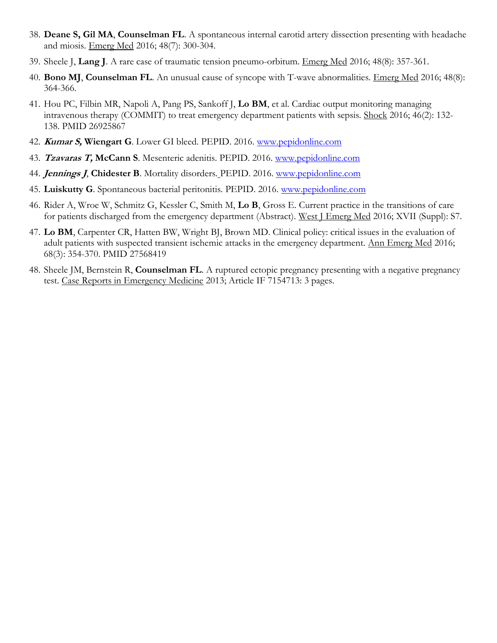- 38. **Deane S, Gil MA**, **Counselman FL**. A spontaneous internal carotid artery dissection presenting with headache and miosis. Emerg Med 2016; 48(7): 300-304.
- 39. Sheele J, **Lang J**. A rare case of traumatic tension pneumo-orbitum. Emerg Med 2016; 48(8): 357-361.
- 40. **Bono MJ**, **Counselman FL**. An unusual cause of syncope with T-wave abnormalities. Emerg Med 2016; 48(8): 364-366.
- 41. Hou PC, Filbin MR, Napoli A, Pang PS, Sankoff J, **Lo BM**, et al. Cardiac output monitoring managing intravenous therapy (COMMIT) to treat emergency department patients with sepsis. Shock 2016; 46(2): 132- 138. PMID 26925867
- 42. **Kumar S, Wiengart G**. Lower GI bleed. PEPID. 2016. [www.pepidonline.com](http://www.pepidonline.com/)
- 43. **Tzavaras T, McCann S**. Mesenteric adenitis. PEPID. 2016. [www.pepidonline.com](http://www.pepidonline.com/)
- 44. **Jennings J**, **Chidester B**. Mortality disorders. PEPID. 2016. [www.pepidonline.com](http://www.pepidonline.com/)
- 45. **Luiskutty G**. Spontaneous bacterial peritonitis. PEPID. 2016. [www.pepidonline.com](http://www.pepidonline.com/)
- 46. Rider A, Wroe W, Schmitz G, Kessler C, Smith M, **Lo B**, Gross E. Current practice in the transitions of care for patients discharged from the emergency department (Abstract). West J Emerg Med 2016; XVII (Suppl): S7.
- 47. **Lo BM**, Carpenter CR, Hatten BW, Wright BJ, Brown MD. Clinical policy: critical issues in the evaluation of adult patients with suspected transient ischemic attacks in the emergency department. Ann Emerg Med 2016; 68(3): 354-370. PMID 27568419
- 48. Sheele JM, Bernstein R, **Counselman FL**. A ruptured ectopic pregnancy presenting with a negative pregnancy test. Case Reports in Emergency Medicine 2013; Article IF 7154713: 3 pages.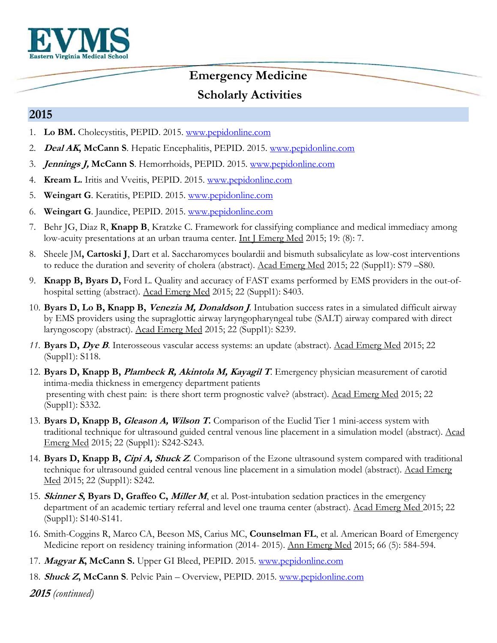

#### **2015**

- 1. **Lo BM.** Cholecystitis, PEPID. 2015. [www.pepidonline.com](http://www.pepidonline.com/)
- 2. **Deal AK, McCann S**. Hepatic Encephalitis, PEPID. 2015. [www.pepidonline.com](http://www.pepidonline.com/)
- 3. **Jennings J, McCann S**. Hemorrhoids, PEPID. 2015. [www.pepidonline.com](http://www.pepidonline.com/)
- 4. **Kream L.** Iritis and Vveitis, PEPID. 2015. [www.pepidonline.com](http://www.pepidonline.com/)
- 5. **Weingart G**. Keratitis, PEPID. 2015. [www.pepidonline.com](http://www.pepidonline.com/)
- 6. **Weingart G**. Jaundice, PEPID. 2015. [www.pepidonline.com](http://www.pepidonline.com/)
- 7. Behr JG, Diaz R, **Knapp B**, Kratzke C. Framework for classifying compliance and medical immediacy among low-acuity presentations at an urban trauma center. Int J Emerg Med 2015; 19: (8): 7.
- 8. Sheele JM**, Cartoski J**, Dart et al. Saccharomyces boulardii and bismuth subsalicylate as low-cost interventions to reduce the duration and severity of cholera (abstract). Acad Emerg Med 2015; 22 (Suppl1): S79 –S80.
- 9. **Knapp B, Byars D,** Ford L. Quality and accuracy of FAST exams performed by EMS providers in the out-ofhospital setting (abstract). Acad Emerg Med 2015; 22 (Suppl1): S403.
- 10. **Byars D, Lo B, Knapp B, Venezia M, Donaldson J**. Intubation success rates in a simulated difficult airway by EMS providers using the supraglottic airway laryngopharyngeal tube (SALT) airway compared with direct laryngoscopy (abstract). Acad Emerg Med 2015; 22 (Suppl1): S239.
- *11.* **Byars D, Dye B**. Interosseous vascular access systems: an update (abstract). Acad Emerg Med 2015; 22 (Suppl1): S118.
- 12. **Byars D, Knapp B, Plambeck R, Akintola M, Kayagil T**. Emergency physician measurement of carotid intima-media thickness in emergency department patients presenting with chest pain: is there short term prognostic valve? (abstract). Acad Emerg Med 2015; 22 (Suppl1): S332.
- 13. **Byars D, Knapp B, Gleason A, Wilson T.** Comparison of the Euclid Tier 1 mini-access system with traditional technique for ultrasound guided central venous line placement in a simulation model (abstract). Acad Emerg Med 2015; 22 (Suppl1): S242-S243.
- 14. **Byars D, Knapp B, Cipi A, Shuck Z**. Comparison of the Ezone ultrasound system compared with traditional technique for ultrasound guided central venous line placement in a simulation model (abstract). Acad Emerg Med 2015; 22 (Suppl1): S242.
- 15. **Skinner S, Byars D, Graffeo C, Miller M**, et al. Post-intubation sedation practices in the emergency department of an academic tertiary referral and level one trauma center (abstract). Acad Emerg Med 2015; 22 (Suppl1): S140-S141.
- 16. Smith-Coggins R, Marco CA, Beeson MS, Carius MC, **Counselman FL**, et al. American Board of Emergency Medicine report on residency training information (2014- 2015). Ann Emerg Med 2015; 66 (5): 584-594.
- 17. **Magyar K, McCann S.** Upper GI Bleed, PEPID. 2015. [www.pepidonline.com](http://www.pepidonline.com/)
- 18. **Shuck Z, McCann S**. Pelvic Pain Overview, PEPID. 2015. [www.pepidonline.com](http://www.pepidonline.com/)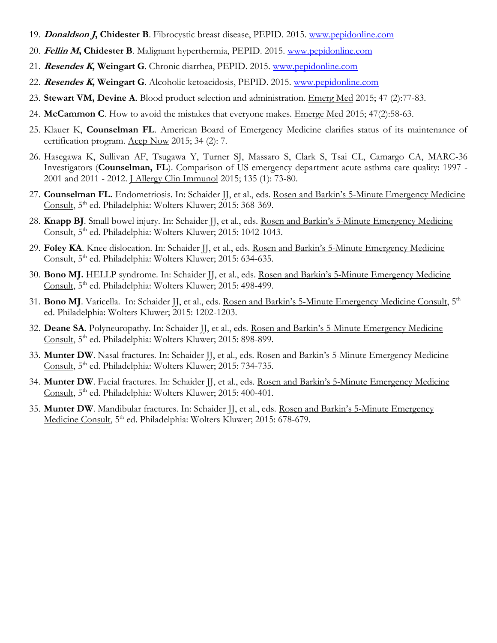- 19. **Donaldson J, Chidester B**. Fibrocystic breast disease, PEPID. 2015. [www.pepidonline.com](http://www.pepidonline.com/)
- 20. **Fellin M, Chidester B**. Malignant hyperthermia, PEPID. 2015. [www.pepidonline.com](http://www.pepidonline.com/)
- 21. **Resendes K, Weingart G**. Chronic diarrhea, PEPID. 2015. [www.pepidonline.com](http://www.pepidonline.com/)
- 22. **Resendes K, Weingart G**. Alcoholic ketoacidosis, PEPID. 2015. [www.pepidonline.com](http://www.pepidonline.com/)
- 23. **Stewart VM, Devine A**. Blood product selection and administration. Emerg Med 2015; 47 (2):77-83.
- 24. **McCammon C**. How to avoid the mistakes that everyone makes. Emerge Med 2015; 47(2):58-63.
- 25. Klauer K, **Counselman FL**. American Board of Emergency Medicine clarifies status of its maintenance of certification program. Acep Now 2015; 34 (2): 7.
- 26. Hasegawa K, Sullivan AF, Tsugawa Y, Turner SJ, Massaro S, Clark S, Tsai CL, Camargo CA, MARC-36 Investigators (**Counselman, FL**). Comparison of US emergency department acute asthma care quality: 1997 - 2001 and 2011 - 2012. J Allergy Clin Immunol 2015; 135 (1): 73-80.
- 27. **Counselman FL.** Endometriosis. In: Schaider JJ, et al., eds. Rosen and Barkin's 5-Minute Emergency Medicine Consult, 5th ed. Philadelphia: Wolters Kluwer; 2015: 368-369.
- 28. **Knapp BJ**. Small bowel injury. In: Schaider JJ, et al., eds. Rosen and Barkin's 5-Minute Emergency Medicine Consult, 5<sup>th</sup> ed. Philadelphia: Wolters Kluwer; 2015: 1042-1043.
- 29. **Foley KA**. Knee dislocation. In: Schaider JJ, et al., eds. Rosen and Barkin's 5-Minute Emergency Medicine Consult, 5th ed. Philadelphia: Wolters Kluwer; 2015: 634-635.
- 30. **Bono MJ.** HELLP syndrome. In: Schaider JJ, et al., eds. Rosen and Barkin's 5-Minute Emergency Medicine Consult, 5<sup>th</sup> ed. Philadelphia: Wolters Kluwer; 2015: 498-499.
- 31. **Bono MJ**. Varicella. In: Schaider JJ, et al., eds. Rosen and Barkin's 5-Minute Emergency Medicine Consult, 5<sup>th</sup> ed. Philadelphia: Wolters Kluwer; 2015: 1202-1203.
- 32. **Deane SA**. Polyneuropathy. In: Schaider JJ, et al., eds. Rosen and Barkin's 5-Minute Emergency Medicine Consult, 5<sup>th</sup> ed. Philadelphia: Wolters Kluwer; 2015: 898-899.
- 33. **Munter DW**. Nasal fractures. In: Schaider JJ, et al., eds. Rosen and Barkin's 5-Minute Emergency Medicine Consult, 5<sup>th</sup> ed. Philadelphia: Wolters Kluwer; 2015: 734-735.
- 34. Munter DW. Facial fractures. In: Schaider JJ, et al., eds. Rosen and Barkin's 5-Minute Emergency Medicine Consult, 5<sup>th</sup> ed. Philadelphia: Wolters Kluwer; 2015: 400-401.
- 35. **Munter DW**. Mandibular fractures. In: Schaider JJ, et al., eds. Rosen and Barkin's 5-Minute Emergency Medicine Consult, 5<sup>th</sup> ed. Philadelphia: Wolters Kluwer; 2015: 678-679.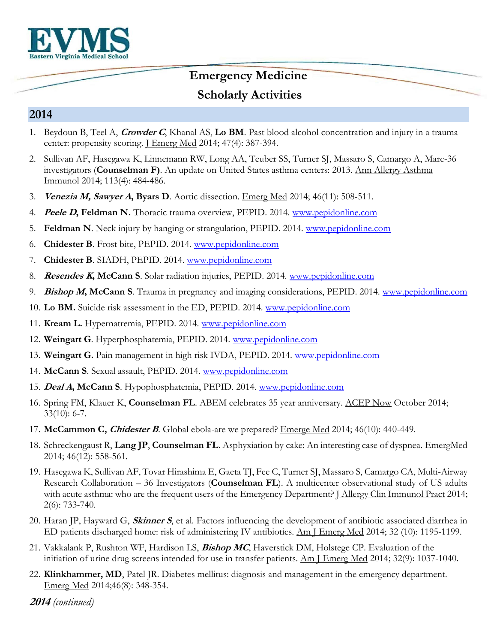

### **Emergency Medicine**

## **Scholarly Activities**

#### **2014**

- 1. Beydoun B, Teel A, **Crowder C**, Khanal AS, **Lo BM**. Past blood alcohol concentration and injury in a trauma center: propensity scoring. *J Emerg Med* 2014; 47(4): 387-394.
- 2. Sullivan AF, Hasegawa K, Linnemann RW, Long AA, Teuber SS, Turner SJ, Massaro S, Camargo A, Marc-36 investigators (**Counselman F)**. An update on United States asthma centers: 2013. Ann Allergy Asthma Immunol 2014; 113(4): 484-486.
- 3. **Venezia M, Sawyer A, Byars D**. Aortic dissection. Emerg Med 2014; 46(11): 508-511.
- 4. **Peele D, Feldman N.** Thoracic trauma overview, PEPID. 2014. [www.pepidonline.com](http://www.pepidonline.com/)
- 5. **Feldman N**. Neck injury by hanging or strangulation, PEPID. 2014. [www.pepidonline.com](http://www.pepidonline.com/)
- 6. **Chidester B**. Frost bite, PEPID. 2014. [www.pepidonline.com](http://www.pepidonline.com/)
- 7. **Chidester B**. SIADH, PEPID. 2014. [www.pepidonline.com](http://www.pepidonline.com/)
- 8. **Resendes K, McCann S**. Solar radiation injuries, PEPID. 2014. [www.pepidonline.com](http://www.pepidonline.com/)
- 9. **Bishop M, McCann S**. Trauma in pregnancy and imaging considerations, PEPID. 2014. [www.pepidonline.com](http://www.pepidonline.com/)
- 10. **Lo BM.** Suicide risk assessment in the ED, PEPID. 2014. [www.pepidonline.com](http://www.pepidonline.com/)
- 11. **Kream L.** Hypernatremia, PEPID. 2014. [www.pepidonline.com](http://www.pepidonline.com/)
- 12. **Weingart G**. Hyperphosphatemia, PEPID. 2014. [www.pepidonline.com](http://www.pepidonline.com/)
- 13. **Weingart G.** Pain management in high risk IVDA, PEPID. 2014. [www.pepidonline.com](http://www.pepidonline.com/)
- 14. **McCann S**. Sexual assault, PEPID. 2014. [www.pepidonline.com](http://www.pepidonline.com/)
- 15. **Deal A, McCann S**. Hypophosphatemia, PEPID. 2014. [www.pepidonline.com](http://www.pepidonline.com/)
- 16. Spring FM, Klauer K, **Counselman FL**. ABEM celebrates 35 year anniversary. ACEP Now October 2014; 33(10): 6-7.
- 17. **McCammon C, Chidester B**. Global ebola-are we prepared? Emerge Med 2014; 46(10): 440-449.
- 18. Schreckengaust R, **Lang JP**, **Counselman FL**. Asphyxiation by cake: An interesting case of dyspnea. EmergMed 2014; 46(12): 558-561.
- 19. Hasegawa K, Sullivan AF, Tovar Hirashima E, Gaeta TJ, Fee C, Turner SJ, Massaro S, Camargo CA, Multi-Airway Research Collaboration – 36 Investigators (**Counselman FL**). A multicenter observational study of US adults with acute asthma: who are the frequent users of the Emergency Department? <u>J Allergy Clin Immunol Pract</u> 2014; 2(6): 733-740.
- 20. Haran JP, Hayward G, **Skinner S**, et al. Factors influencing the development of antibiotic associated diarrhea in ED patients discharged home: risk of administering IV antibiotics. Am J Emerg Med 2014; 32 (10): 1195-1199.
- 21. Vakkalank P, Rushton WF, Hardison LS, **Bishop MC**, Haverstick DM, Holstege CP. Evaluation of the initiation of urine drug screens intended for use in transfer patients. Am J Emerg Med 2014; 32(9): 1037-1040.
- 22. **Klinkhammer, MD**, Patel JR. Diabetes mellitus: diagnosis and management in the emergency department. Emerg Med 2014;46(8): 348-354.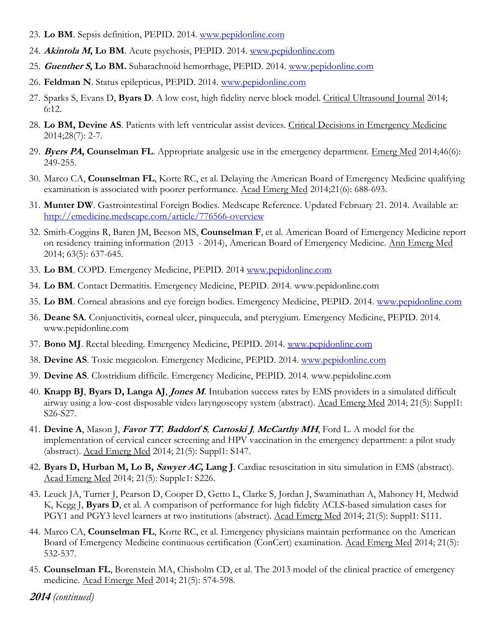- 23. **Lo BM**. Sepsis definition, PEPID. 2014. [www.pepidonline.com](http://www.pepidonline.com/)
- 24. **Akintola M, Lo BM**. Acute psychosis, PEPID. 2014. [www.pepidonline.com](http://www.pepidonline.com/)
- 25. **Guenther S, Lo BM.** Subarachnoid hemorrhage, PEPID. 2014. [www.pepidonline.com](http://www.pepidonline.com/)
- 26. **Feldman N**. Status epilepticus, PEPID. 2014. [www.pepidonline.com](http://www.pepidonline.com/)
- 27. Sparks S, Evans D, **Byars D**. A low cost, high fidelity nerve block model. Critical Ultrasound Journal 2014; 6:12.
- 28. **Lo BM, Devine AS**. Patients with left ventricular assist devices. Critical Decisions in Emergency Medicine 2014;28(7): 2-7.
- 29. **Byers PA, Counselman FL**. Appropriate analgesic use in the emergency department. Emerg Med 2014;46(6): 249-255.
- 30. Marco CA, **Counselman FL**, Korte RC, et al. Delaying the American Board of Emergency Medicine qualifying examination is associated with poorer performance. Acad Emerg Med 2014;21(6): 688-693.
- 31. **Munter DW**. Gastrointestinal Foreign Bodies. Medscape Reference. Updated February 21. 2014. Available at: <http://emedicine.medscape.com/article/776566-overview>
- 32. Smith-Coggins R, Baren JM, Beeson MS, **Counselman F**, et al. American Board of Emergency Medicine report on residency training information (2013 - 2014), American Board of Emergency Medicine. Ann Emerg Med 2014; 63(5): 637-645.
- 33. **Lo BM**. COPD. Emergency Medicine, PEPID. 2014 [www.pepidonline.com](http://www.pepidonline.com/)
- 34. **Lo BM**. Contact Dermatitis. Emergency Medicine, PEPID. 2014. www.pepidonline.com
- 35. **Lo BM**. Corneal abrasions and eye foreign bodies. Emergency Medicine, PEPID. 2014. [www.pepidonline.com](http://www.pepidonline.com/)
- 36. **Deane SA**. Conjunctivitis, corneal ulcer, pinquecula, and pterygium. Emergency Medicine, PEPID. 2014. www.pepidonline.com
- 37. **Bono MJ**. Rectal bleeding. Emergency Medicine, PEPID. 2014. [www.pepidonline.com](http://www.pepidonline.com/)
- 38. **Devine AS**. Toxic megacolon. Emergency Medicine, PEPID. 2014. [www.pepidonline.com](http://www.pepidonline.com/)
- 39. **Devine AS**. Clostridium difficile. Emergency Medicine, PEPID. 2014. www.pepidoline.com
- 40. **Knapp BJ**, **Byars D, Langa AJ**, **Jones M**. Intubation success rates by EMS providers in a simulated difficult airway using a low-cost disposable video laryngoscopy system (abstract). Acad Emerg Med 2014; 21(5): Suppl1: S26-S27.
- 41. **Devine A**, Mason J, **Favor TT***,* **Baddorf S***,* **Cartoski J***,* **McCarthy MH**, Ford L. A model for the implementation of cervical cancer screening and HPV vaccination in the emergency department: a pilot study (abstract). Acad Emerg Med 2014; 21(5): Suppl1: S147.
- 42. **Byars D, Hurban M, Lo B, Sawyer AC, Lang J**. Cardiac resuscitation in situ simulation in EMS (abstract). Acad Emerg Med 2014; 21(5): Supple1: S226.
- 43. Leuck JA, Turner J, Pearson D, Cooper D, Getto L, Clarke S, Jordan J, Swaminathan A, Mahoney H, Medwid K, Kegg J, **Byars D**, et al. A comparison of performance for high fidelity ACLS-based simulation cases for PGY1 and PGY3 level learners at two institutions (abstract). Acad Emerg Med 2014; 21(5): Suppl1: S111.
- 44. Marco CA, **Counselman FL**, Korte RC, et al. Emergency physicians maintain performance on the American Board of Emergency Medicine continuous certification (ConCert) examination. Acad Emerg Med 2014; 21(5): 532-537.
- 45. **Counselman FL**, Borenstein MA, Chisholm CD, et al. The 2013 model of the clinical practice of emergency medicine. Acad Emerge Med 2014; 21(5): 574-598.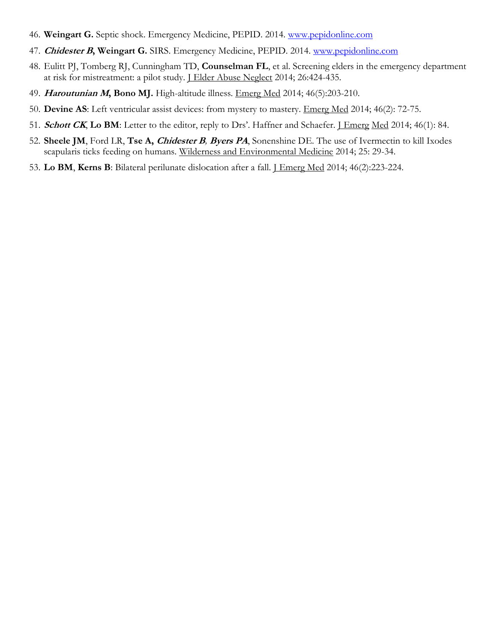- 46. **Weingart G.** Septic shock. Emergency Medicine, PEPID. 2014. [www.pepidonline.com](http://www.pepidonline.com/)
- 47. **Chidester B, Weingart G.** SIRS. Emergency Medicine, PEPID. 2014. [www.pepidonline.com](http://www.pepidonline.com/)
- 48. Eulitt PJ, Tomberg RJ, Cunningham TD, **Counselman FL**, et al. Screening elders in the emergency department at risk for mistreatment: a pilot study. J Elder Abuse Neglect 2014; 26:424-435.
- 49. **Haroutunian M, Bono MJ.** High-altitude illness. Emerg Med 2014; 46(5):203-210.
- 50. **Devine AS**: Left ventricular assist devices: from mystery to mastery. Emerg Med 2014; 46(2): 72-75.
- 51. **Schott CK, Lo BM**: Letter to the editor, reply to Drs'. Haffner and Schaefer. <u>J Emerg Med</u> 2014; 46(1): 84.
- 52. **Sheele JM**, Ford LR, **Tse A, Chidester B***,* **Byers PA**, Sonenshine DE. The use of Ivermectin to kill Ixodes scapularis ticks feeding on humans. Wilderness and Environmental Medicine 2014; 25: 29-34.
- 53. **Lo BM**, **Kerns B**: Bilateral perilunate dislocation after a fall. J Emerg Med 2014; 46(2):223-224.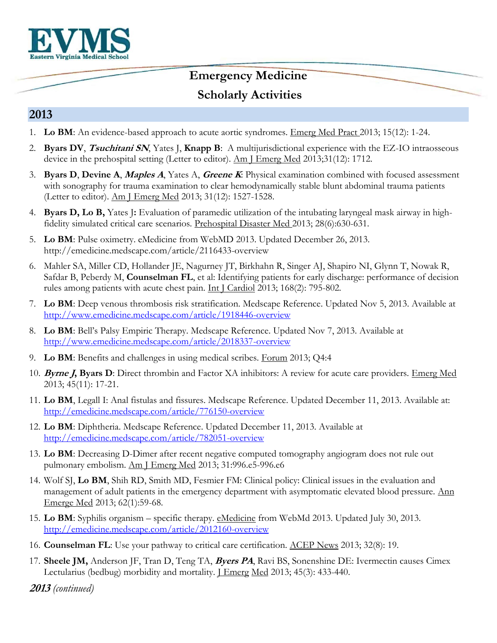

#### **2013**

- 1. **Lo BM**: An evidence-based approach to acute aortic syndromes. Emerg Med Pract 2013; 15(12): 1-24.
- 2. **Byars DV**, **Tsuchitani SN**, Yates J, **Knapp B**: A multijurisdictional experience with the EZ-IO intraosseous device in the prehospital setting (Letter to editor).  $\Delta m$  J Emerg Med 2013;31(12): 1712.
- 3. **Byars D**, **Devine A**, **Maples A**, Yates A, **Greene K**: Physical examination combined with focused assessment with sonography for trauma examination to clear hemodynamically stable blunt abdominal trauma patients (Letter to editor). Am J Emerg Med 2013; 31(12): 1527-1528.
- 4. **Byars D, Lo B,** Yates J**:** Evaluation of paramedic utilization of the intubating laryngeal mask airway in highfidelity simulated critical care scenarios. Prehospital Disaster Med 2013; 28(6):630-631.
- 5. **Lo BM**: Pulse oximetry. eMedicine from WebMD 2013. Updated December 26, 2013. http://emedicine.medscape.com/article/2116433-overview
- 6. Mahler SA, Miller CD, Hollander JE, Nagurney JT, Birkhahn R, Singer AJ, Shapiro NI, Glynn T, Nowak R, Safdar B, Peberdy M, **Counselman FL**, et al: Identifying patients for early discharge: performance of decision rules among patients with acute chest pain. Int J Cardiol 2013; 168(2): 795-802.
- 7. **Lo BM**: Deep venous thrombosis risk stratification. Medscape Reference. Updated Nov 5, 2013. Available at <http://www.emedicine.medscape.com/article/1918446-overview>
- 8. **Lo BM**: Bell's Palsy Empiric Therapy. Medscape Reference. Updated Nov 7, 2013. Available at <http://www.emedicine.medscape.com/article/2018337-overview>
- 9. **Lo BM**: Benefits and challenges in using medical scribes. Forum 2013; Q4:4
- 10. **Byrne J, Byars D**: Direct thrombin and Factor XA inhibitors: A review for acute care providers. Emerg Med 2013; 45(11): 17-21.
- 11. **Lo BM**, Legall I: Anal fistulas and fissures. Medscape Reference. Updated December 11, 2013. Available at: <http://emedicine.medscape.com/article/776150-overview>
- 12. **Lo BM**: Diphtheria. Medscape Reference. Updated December 11, 2013. Available at <http://emedicine.medscape.com/article/782051-overview>
- 13. **Lo BM**: Decreasing D-Dimer after recent negative computed tomography angiogram does not rule out pulmonary embolism. Am J Emerg Med 2013; 31:996.e5-996.e6
- 14. Wolf SJ, **Lo BM**, Shih RD, Smith MD, Fesmier FM: Clinical policy: Clinical issues in the evaluation and management of adult patients in the emergency department with asymptomatic elevated blood pressure. Ann Emerge Med 2013; 62(1):59-68.
- 15. **Lo BM**: Syphilis organism specific therapy. eMedicine from WebMd 2013. Updated July 30, 2013. <http://emedicine.medscape.com/article/2012160-overview>
- 16. **Counselman FL**: Use your pathway to critical care certification. ACEP News 2013; 32(8): 19.
- 17. **Sheele JM,** Anderson JF, Tran D, Teng TA, **Byers PA**, Ravi BS, Sonenshine DE: Ivermectin causes Cimex Lectularius (bedbug) morbidity and mortality. J Emerg Med 2013; 45(3): 433-440.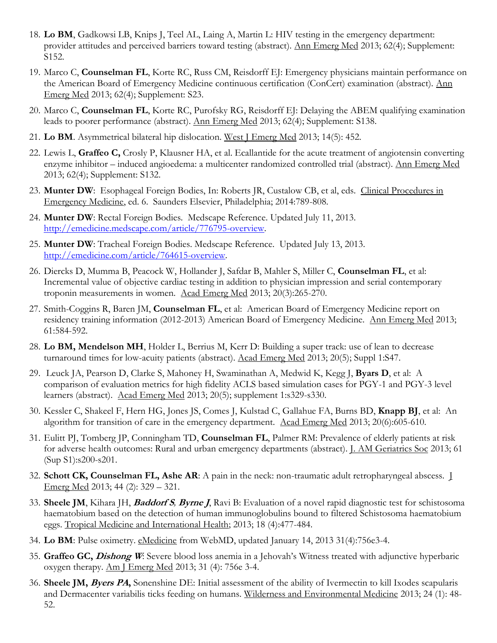- 18. **Lo BM**, Gadkowsi LB, Knips J, Teel AL, Laing A, Martin L: HIV testing in the emergency department: provider attitudes and perceived barriers toward testing (abstract). Ann Emerg Med 2013; 62(4); Supplement: S152.
- 19. Marco C, **Counselman FL**, Korte RC, Russ CM, Reisdorff EJ: Emergency physicians maintain performance on the American Board of Emergency Medicine continuous certification (ConCert) examination (abstract). Ann Emerg Med 2013; 62(4); Supplement: S23.
- 20. Marco C, **Counselman FL**, Korte RC, Purofsky RG, Reisdorff EJ: Delaying the ABEM qualifying examination leads to poorer performance (abstract). Ann Emerg Med 2013; 62(4); Supplement: S138.
- 21. **Lo BM**. Asymmetrical bilateral hip dislocation. West J Emerg Med 2013; 14(5): 452.
- 22. Lewis L, **Graffeo C,** Crosly P, Klausner HA, et al. Ecallantide for the acute treatment of angiotensin converting enzyme inhibitor – induced angioedema: a multicenter randomized controlled trial (abstract). Ann Emerg Med 2013; 62(4); Supplement: S132.
- 23. Munter DW: Esophageal Foreign Bodies, In: Roberts JR, Custalow CB, et al, eds. Clinical Procedures in Emergency Medicine, ed. 6. Saunders Elsevier, Philadelphia; 2014:789-808.
- 24. **Munter DW**: Rectal Foreign Bodies. Medscape Reference. Updated July 11, 2013. [http://emedicine.medscape.com/article/776795-overview.](http://emedicine.medscape.com/article/776795-overview)
- 25. **Munter DW**: Tracheal Foreign Bodies. Medscape Reference. Updated July 13, 2013. [http://emedicine.com/article/764615-overview.](http://emedicine.com/article/764615-overview)
- 26. Diercks D, Mumma B, Peacock W, Hollander J, Safdar B, Mahler S, Miller C, **Counselman FL**, et al: Incremental value of objective cardiac testing in addition to physician impression and serial contemporary troponin measurements in women. Acad Emerg Med 2013; 20(3):265-270.
- 27. Smith-Coggins R, Baren JM, **Counselman FL**, et al: American Board of Emergency Medicine report on residency training information (2012-2013) American Board of Emergency Medicine. Ann Emerg Med 2013; 61:584-592.
- 28. **Lo BM, Mendelson MH**, Holder L, Berrius M, Kerr D: Building a super track: use of lean to decrease turnaround times for low-acuity patients (abstract). Acad Emerg Med 2013; 20(5); Suppl 1:S47.
- 29. Leuck JA, Pearson D, Clarke S, Mahoney H, Swaminathan A, Medwid K, Kegg J, **Byars D**, et al: A comparison of evaluation metrics for high fidelity ACLS based simulation cases for PGY-1 and PGY-3 level learners (abstract). Acad Emerg Med 2013; 20(5); supplement 1:s329-s330.
- 30. Kessler C, Shakeel F, Hern HG, Jones JS, Comes J, Kulstad C, Gallahue FA, Burns BD, **Knapp BJ**, et al: An algorithm for transition of care in the emergency department. Acad Emerg Med 2013; 20(6):605-610.
- 31. Eulitt PJ, Tomberg JP, Conningham TD, **Counselman FL**, Palmer RM: Prevalence of elderly patients at risk for adverse health outcomes: Rural and urban emergency departments (abstract). *J. AM Geriatrics Soc* 2013; 61 (Sup S1):s200-s201.
- 32. **Schott CK, Counselman FL, Ashe AR**: A pain in the neck: non-traumatic adult retropharyngeal abscess. J Emerg Med 2013; 44 (2): 329 – 321.
- 33. **Sheele JM**, Kihara JH, **Baddorf S***,* **Byrne J**, Ravi B: Evaluation of a novel rapid diagnostic test for schistosoma haematobium based on the detection of human immunoglobulins bound to filtered Schistosoma haematobium eggs. Tropical Medicine and International Health; 2013; 18 (4):477-484.
- 34. **Lo BM**: Pulse oximetry. eMedicine from WebMD, updated January 14, 2013 31(4):756e3-4.
- 35. **Graffeo GC, Dishong W**: Severe blood loss anemia in a Jehovah's Witness treated with adjunctive hyperbaric oxygen therapy. Am J Emerg Med 2013; 31 (4): 756e 3-4.
- 36. **Sheele JM, Byers PA,** Sonenshine DE: Initial assessment of the ability of Ivermectin to kill Ixodes scapularis and Dermacenter variabilis ticks feeding on humans. Wilderness and Environmental Medicine 2013; 24 (1): 48- 52.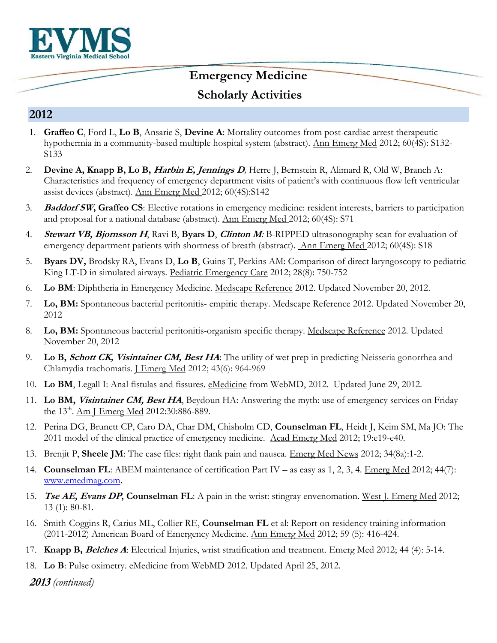

#### **2012**

- 1. **Graffeo C**, Ford L, **Lo B**, Ansarie S, **Devine A**: Mortality outcomes from post-cardiac arrest therapeutic hypothermia in a community-based multiple hospital system (abstract). Ann Emerg Med 2012; 60(4S): S132- S133
- 2. **Devine A, Knapp B, Lo B, Harbin E, Jennings D***,* Herre J, Bernstein R, Alimard R, Old W, Branch A: Characteristics and frequency of emergency department visits of patient's with continuous flow left ventricular assist devices (abstract). Ann Emerg Med 2012; 60(4S):S142
- 3. **Baddorf SW, Graffeo CS**: Elective rotations in emergency medicine: resident interests, barriers to participation and proposal for a national database (abstract). Ann Emerg Med 2012; 60(4S): S71
- 4. **Stewart VB, Bjornsson H**, Ravi B, **Byars D**, **Clinton M***:* B-RIPPED ultrasonography scan for evaluation of emergency department patients with shortness of breath (abstract). Ann Emerg Med 2012; 60(4S): S18
- 5. **Byars DV,** Brodsky RA, Evans D, **Lo B**, Guins T, Perkins AM: Comparison of direct laryngoscopy to pediatric King LT-D in simulated airways. Pediatric Emergency Care 2012; 28(8): 750-752
- 6. **Lo BM**: Diphtheria in Emergency Medicine. Medscape Reference 2012. Updated November 20, 2012.
- 7. **Lo, BM:** Spontaneous bacterial peritonitis- empiric therapy. Medscape Reference 2012. Updated November 20, 2012
- 8. **Lo, BM:** Spontaneous bacterial peritonitis-organism specific therapy. Medscape Reference 2012. Updated November 20, 2012
- 9. **Lo B, Schott CK, Visintainer CM, Best HA**: The utility of wet prep in predicting Neisseria gonorrhea and Chlamydia trachomatis. *J Emerg Med 2012*; 43(6): 964-969
- 10. **Lo BM**, Legall I: Anal fistulas and fissures. eMedicine from WebMD, 2012. Updated June 29, 2012.
- 11. **Lo BM, Visintainer CM, Best HA**, Beydoun HA: Answering the myth: use of emergency services on Friday the 13<sup>th</sup>. Am J Emerg Med 2012:30:886-889.
- 12. Perina DG, Brunett CP, Caro DA, Char DM, Chisholm CD, **Counselman FL**, Heidt J, Keim SM, Ma JO: The 2011 model of the clinical practice of emergency medicine. Acad Emerg Med 2012; 19:e19-e40.
- 13. Brenjit P, **Sheele JM**: The case files: right flank pain and nausea. Emerg Med News 2012; 34(8a):1-2.
- 14. **Counselman FL**: ABEM maintenance of certification Part IV as easy as 1, 2, 3, 4. Emerg Med 2012; 44(7): [www.emedmag.com.](http://www.emedmag.com/)
- 15. **Tse AE, Evans DP, Counselman FL**: A pain in the wrist: stingray envenomation. West J. Emerg Med 2012; 13 (1): 80-81.
- 16. Smith-Coggins R, Carius ML, Collier RE, **Counselman FL** et al: Report on residency training information (2011-2012) American Board of Emergency Medicine. Ann Emerg Med 2012; 59 (5): 416-424.
- 17. **Knapp B, Belches A**: Electrical Injuries, wrist stratification and treatment. Emerg Med 2012; 44 (4): 5-14.
- 18. **Lo B**: Pulse oximetry. eMedicine from WebMD 2012. Updated April 25, 2012.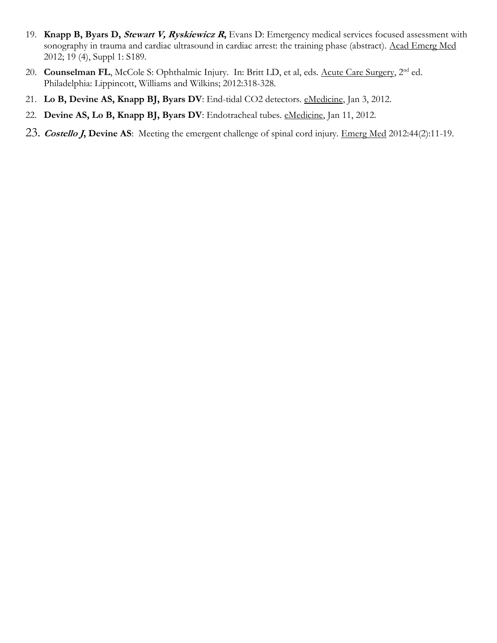- 19. **Knapp B, Byars D, Stewart V, Ryskiewicz <sup>R</sup>,** Evans D: Emergency medical services focused assessment with sonography in trauma and cardiac ultrasound in cardiac arrest: the training phase (abstract). Acad Emerg Med 2012; 19 (4), Suppl 1: S189.
- 20. **Counselman FL**, McCole S: Ophthalmic Injury. In: Britt LD, et al, eds. Acute Care Surgery, 2<sup>nd</sup> ed. Philadelphia: Lippincott, Williams and Wilkins; 2012:318-328.
- 21. **Lo B, Devine AS, Knapp BJ, Byars DV**: End-tidal CO2 detectors. eMedicine, Jan 3, 2012.
- 22. Devine AS, Lo B, Knapp BJ, Byars DV: Endotracheal tubes. eMedicine, Jan 11, 2012.
- 23. **Costello J, Devine AS**: Meeting the emergent challenge of spinal cord injury. Emerg Med 2012:44(2):11-19.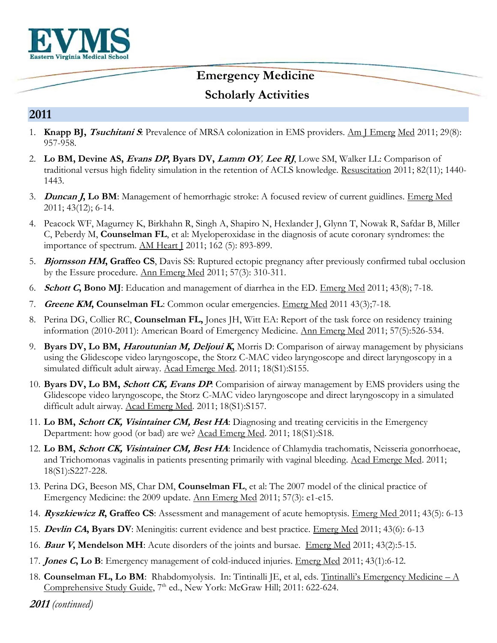

#### **2011**

- 1. **Knapp BJ, Tsuchitani S**: Prevalence of MRSA colonization in EMS providers. Am J Emerg Med 2011; 29(8): 957-958.
- 2. **Lo BM, Devine AS, Evans DP, Byars DV, Lamm OY***,* **Lee RJ**, Lowe SM, Walker LL: Comparison of traditional versus high fidelity simulation in the retention of ACLS knowledge. Resuscitation 2011; 82(11); 1440- 1443.
- 3. **Duncan J, Lo BM**: Management of hemorrhagic stroke: A focused review of current guidlines. Emerg Med 2011; 43(12); 6-14.
- 4. Peacock WF, Magurney K, Birkhahn R, Singh A, Shapiro N, Hexlander J, Glynn T, Nowak R, Safdar B, Miller C, Peberdy M, **Counselman FL**, et al: Myeloperoxidase in the diagnosis of acute coronary syndromes: the importance of spectrum. AM Heart J 2011; 162 (5): 893-899.
- 5. **Bjornsson HM, Graffeo CS**, Davis SS: Ruptured ectopic pregnancy after previously confirmed tubal occlusion by the Essure procedure. Ann Emerg Med 2011; 57(3): 310-311.
- 6. **Schott C, Bono MJ**: Education and management of diarrhea in the ED. Emerg Med 2011; 43(8); 7-18.
- 7. **Greene KM, Counselman FL**: Common ocular emergencies. Emerg Med 2011 43(3);7-18.
- 8. Perina DG, Collier RC, **Counselman FL,** Jones JH, Witt EA: Report of the task force on residency training information (2010-2011): American Board of Emergency Medicine. Ann Emerg Med 2011; 57(5):526-534.
- 9. **Byars DV, Lo BM, Haroutunian M, Deljoui K,** Morris D: Comparison of airway management by physicians using the Glidescope video laryngoscope, the Storz C-MAC video laryngoscope and direct laryngoscopy in a simulated difficult adult airway. Acad Emerge Med. 2011; 18(S1):S155.
- 10. **Byars DV, Lo BM, Schott CK, Evans DP**: Comparision of airway management by EMS providers using the Glidescope video laryngoscope, the Storz C-MAC video laryngoscope and direct laryngoscopy in a simulated difficult adult airway. Acad Emerg Med. 2011; 18(S1):S157.
- 11. **Lo BM, Schott CK, Visintainer CM, Best HA**: Diagnosing and treating cervicitis in the Emergency Department: how good (or bad) are we? Acad Emerg Med. 2011; 18(S1):S18.
- 12. **Lo BM, Schott CK, Visintainer CM, Best HA**: Incidence of Chlamydia trachomatis, Neisseria gonorrhoeae, and Trichomonas vaginalis in patients presenting primarily with vaginal bleeding. Acad Emerge Med. 2011; 18(S1):S227-228.
- 13. Perina DG, Beeson MS, Char DM, **Counselman FL**, et al: The 2007 model of the clinical practice of Emergency Medicine: the 2009 update. Ann Emerg Med 2011; 57(3): e1-e15.
- 14. **Ryszkiewicz R, Graffeo CS**: Assessment and management of acute hemoptysis. Emerg Med 2011; 43(5): 6-13
- 15. **Devlin CA, Byars DV**: Meningitis: current evidence and best practice. Emerg Med 2011; 43(6): 6-13
- 16. **Baur V, Mendelson MH**: Acute disorders of the joints and bursae. Emerg Med 2011; 43(2):5-15.
- 17. **Jones C, Lo B**: Emergency management of cold-induced injuries. Emerg Med 2011; 43(1):6-12.
- 18. **Counselman FL, Lo BM**: Rhabdomyolysis. In: Tintinalli JE, et al, eds. Tintinalli's Emergency Medicine A Comprehensive Study Guide, 7<sup>th</sup> ed., New York: McGraw Hill; 2011: 622-624.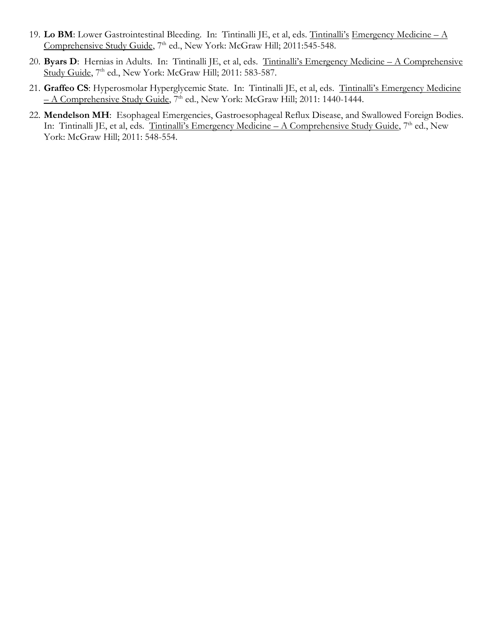- 19. **Lo BM**: Lower Gastrointestinal Bleeding. In: Tintinalli JE, et al, eds. Tintinalli's Emergency Medicine A Comprehensive Study Guide, 7<sup>th</sup> ed., New York: McGraw Hill; 2011:545-548.
- 20. **Byars D**: Hernias in Adults. In: Tintinalli JE, et al, eds. Tintinalli's Emergency Medicine A Comprehensive Study Guide, 7<sup>th</sup> ed., New York: McGraw Hill; 2011: 583-587.
- 21. **Graffeo CS**: Hyperosmolar Hyperglycemic State. In: Tintinalli JE, et al, eds. Tintinalli's Emergency Medicine – A Comprehensive Study Guide, 7th ed., New York: McGraw Hill; 2011: 1440-1444.
- 22. **Mendelson MH**: Esophageal Emergencies, Gastroesophageal Reflux Disease, and Swallowed Foreign Bodies. In: Tintinalli JE, et al, eds. Tintinalli's Emergency Medicine – A Comprehensive Study Guide, 7<sup>th</sup> ed., New York: McGraw Hill; 2011: 548-554.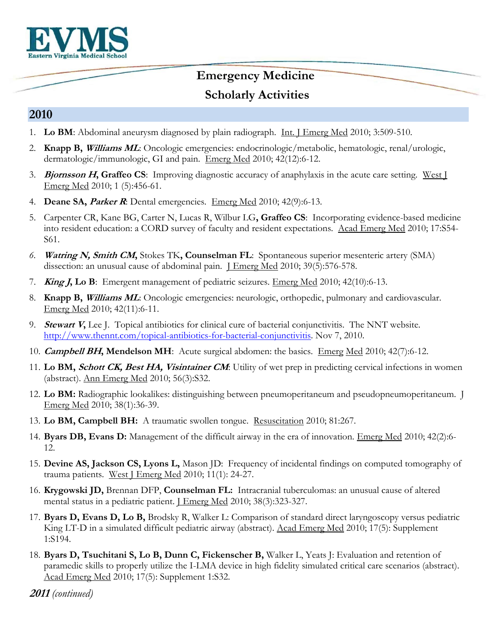

#### **2010**

- 1. **Lo BM**: Abdominal aneurysm diagnosed by plain radiograph. Int. J Emerg Med 2010; 3:509-510.
- 2. **Knapp B, Williams ML**: Oncologic emergencies: endocrinologic/metabolic, hematologic, renal/urologic, dermatologic/immunologic, GI and pain. Emerg Med 2010; 42(12):6-12.
- 3. **Bjornsson H, Graffeo CS**: Improving diagnostic accuracy of anaphylaxis in the acute care setting. West J Emerg Med 2010; 1 (5):456-61.
- 4. **Deane SA, Parker R**: Dental emergencies. Emerg Med 2010; 42(9):6-13.
- 5. Carpenter CR, Kane BG, Carter N, Lucas R, Wilbur LG**, Graffeo CS**: Incorporating evidence-based medicine into resident education: a CORD survey of faculty and resident expectations. Acad Emerg Med 2010; 17:S54- S61.
- *6.* **Watring N, Smith CM,** Stokes TK**, Counselman FL**: Spontaneous superior mesenteric artery (SMA) dissection: an unusual cause of abdominal pain. I Emerg Med 2010; 39(5):576-578.
- 7. **King J, Lo B**: Emergent management of pediatric seizures. Emerg Med 2010; 42(10):6-13.
- 8. **Knapp B, Williams ML**: Oncologic emergencies: neurologic, orthopedic, pulmonary and cardiovascular. Emerg Med 2010; 42(11):6-11.
- 9. **Stewart V,** Lee J. Topical antibiotics for clinical cure of bacterial conjunctivitis. The NNT website. [http://www.thennt.com/topical-antibiotics-for-bacterial-conjunctivitis.](http://www.thennt.com/topical-antibiotics-for-bacterial-conjunctivitis) Nov 7, 2010.
- 10. **Campbell BH, Mendelson MH**: Acute surgical abdomen: the basics. Emerg Med 2010; 42(7):6-12.
- 11. **Lo BM, Schott CK, Best HA, Visintainer CM**: Utility of wet prep in predicting cervical infections in women (abstract). Ann Emerg Med 2010; 56(3):S32.
- 12. **Lo BM:** Radiographic lookalikes: distinguishing between pneumoperitaneum and pseudopneumoperitaneum. J Emerg Med 2010; 38(1):36-39.
- 13. **Lo BM, Campbell BH:** A traumatic swollen tongue. Resuscitation 2010; 81:267.
- 14. **Byars DB, Evans D:** Management of the difficult airway in the era of innovation. Emerg Med 2010; 42(2):6- 12.
- 15. **Devine AS, Jackson CS, Lyons L,** Mason JD: Frequency of incidental findings on computed tomography of trauma patients. West J Emerg Med 2010; 11(1): 24-27.
- 16. **Krygowski JD,** Brennan DFP, **Counselman FL:** Intracranial tuberculomas: an unusual cause of altered mental status in a pediatric patient. <u>J Emerg Med</u> 2010; 38(3):323-327.
- 17. **Byars D, Evans D, Lo B,** Brodsky R, Walker L: Comparison of standard direct laryngoscopy versus pediatric King LT-D in a simulated difficult pediatric airway (abstract). Acad Emerg Med 2010; 17(5): Supplement 1:S194.
- 18. **Byars D, Tsuchitani S, Lo B, Dunn C, Fickenscher B,** Walker L, Yeats J: Evaluation and retention of paramedic skills to properly utilize the I-LMA device in high fidelity simulated critical care scenarios (abstract). Acad Emerg Med 2010; 17(5): Supplement 1:S32.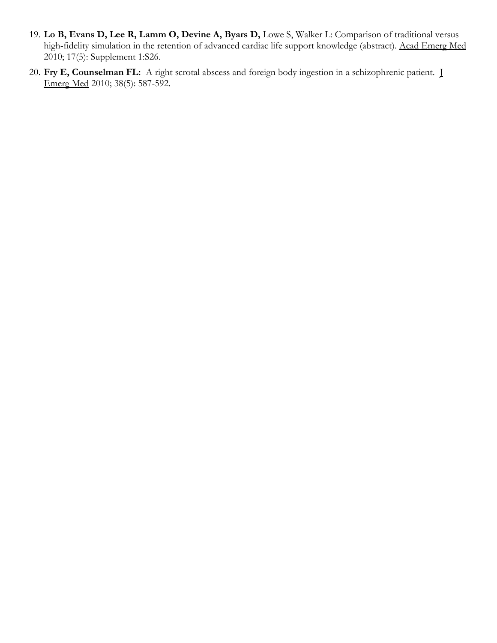- 19. **Lo B, Evans D, Lee R, Lamm O, Devine A, Byars D,** Lowe S, Walker L: Comparison of traditional versus high-fidelity simulation in the retention of advanced cardiac life support knowledge (abstract). Acad Emerg Med 2010; 17(5): Supplement 1:S26.
- 20. **Fry E, Counselman FL:** A right scrotal abscess and foreign body ingestion in a schizophrenic patient. J Emerg Med 2010; 38(5): 587-592.